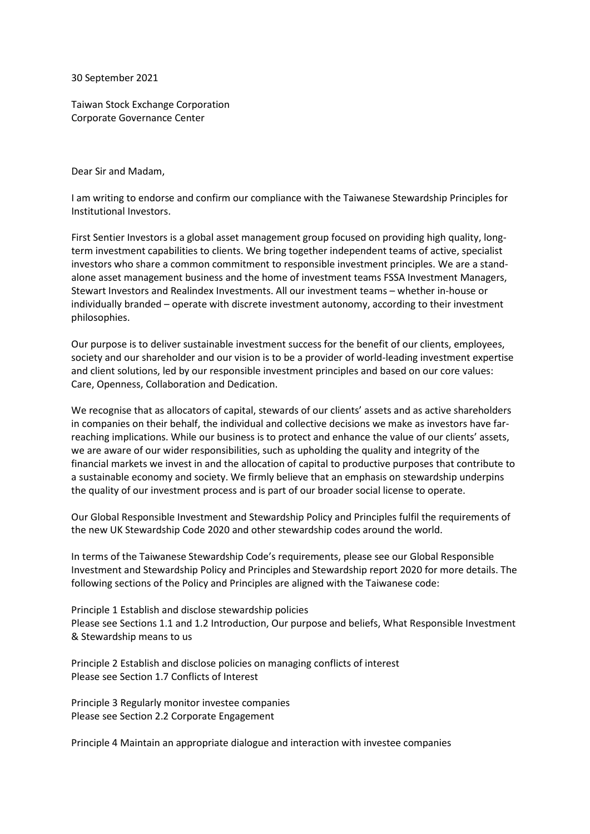30 September 2021

Taiwan Stock Exchange Corporation Corporate Governance Center

Dear Sir and Madam,

I am writing to endorse and confirm our compliance with the Taiwanese Stewardship Principles for Institutional Investors.

First Sentier Investors is a global asset management group focused on providing high quality, longterm investment capabilities to clients. We bring together independent teams of active, specialist investors who share a common commitment to responsible investment principles. We are a standalone asset management business and the home of investment teams FSSA Investment Managers, Stewart Investors and Realindex Investments. All our investment teams – whether in-house or individually branded – operate with discrete investment autonomy, according to their investment philosophies.

Our purpose is to deliver sustainable investment success for the benefit of our clients, employees, society and our shareholder and our vision is to be a provider of world-leading investment expertise and client solutions, led by our responsible investment principles and based on our core values: Care, Openness, Collaboration and Dedication.

We recognise that as allocators of capital, stewards of our clients' assets and as active shareholders in companies on their behalf, the individual and collective decisions we make as investors have farreaching implications. While our business is to protect and enhance the value of our clients' assets, we are aware of our wider responsibilities, such as upholding the quality and integrity of the financial markets we invest in and the allocation of capital to productive purposes that contribute to a sustainable economy and society. We firmly believe that an emphasis on stewardship underpins the quality of our investment process and is part of our broader social license to operate.

Our Global Responsible Investment and Stewardship Policy and Principles fulfil the requirements of the new UK Stewardship Code 2020 and other stewardship codes around the world.

In terms of the Taiwanese Stewardship Code's requirements, please see our Global Responsible Investment and Stewardship Policy and Principles and Stewardship report 2020 for more details. The following sections of the Policy and Principles are aligned with the Taiwanese code:

Principle 1 Establish and disclose stewardship policies Please see Sections 1.1 and 1.2 Introduction, Our purpose and beliefs, What Responsible Investment & Stewardship means to us

Principle 2 Establish and disclose policies on managing conflicts of interest Please see Section 1.7 Conflicts of Interest

Principle 3 Regularly monitor investee companies Please see Section 2.2 Corporate Engagement

Principle 4 Maintain an appropriate dialogue and interaction with investee companies